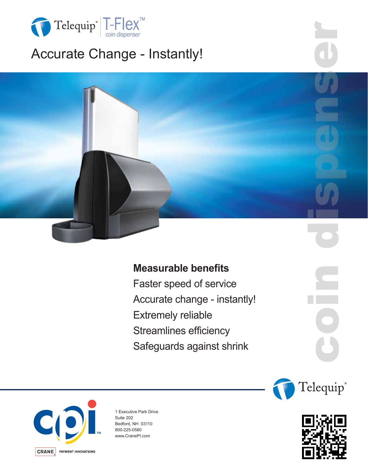

# Accurate Change - Instantly!



## **Measurable benefits**

Faster speed of service Accurate change - instantly! Extremely reliable Streamlines efficiency Safeguards against shrink



1 Executive Park Drive Suite 202 Bedford, NH 03110 800-225-0580 www.CranePI.com